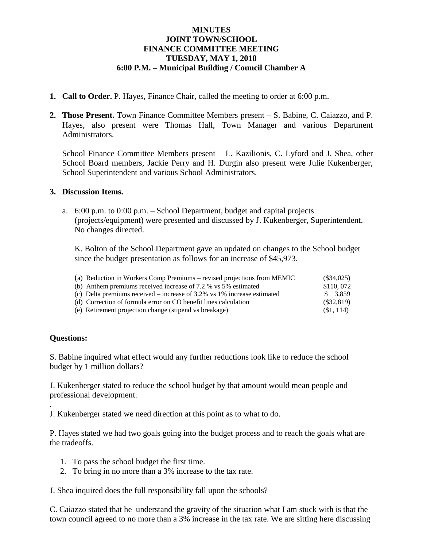### **MINUTES JOINT TOWN/SCHOOL FINANCE COMMITTEE MEETING TUESDAY, MAY 1, 2018 6:00 P.M. – Municipal Building / Council Chamber A**

- **1. Call to Order.** P. Hayes, Finance Chair, called the meeting to order at 6:00 p.m.
- **2. Those Present.** Town Finance Committee Members present S. Babine, C. Caiazzo, and P. Hayes, also present were Thomas Hall, Town Manager and various Department Administrators.

School Finance Committee Members present – L. Kazilionis, C. Lyford and J. Shea, other School Board members, Jackie Perry and H. Durgin also present were Julie Kukenberger, School Superintendent and various School Administrators.

#### **3. Discussion Items.**

a. 6:00 p.m. to 0:00 p.m. – School Department, budget and capital projects (projects/equipment) were presented and discussed by J. Kukenberger, Superintendent. No changes directed.

K. Bolton of the School Department gave an updated on changes to the School budget since the budget presentation as follows for an increase of \$45,973.

| (a) Reduction in Workers Comp Premiums – revised projections from MEMIC    | $(\$34,025)$ |
|----------------------------------------------------------------------------|--------------|
| (b) Anthem premiums received increase of 7.2 $\%$ vs 5 $\%$ estimated      | \$110,072    |
| (c) Delta premiums received – increase of $3.2\%$ vs 1% increase estimated | \$3.859      |
| (d) Correction of formula error on CO benefit lines calculation            | $(\$32,819)$ |
| (e) Retirement projection change (stipend vs breakage)                     | (S1, 114)    |

## **Questions:**

.

S. Babine inquired what effect would any further reductions look like to reduce the school budget by 1 million dollars?

J. Kukenberger stated to reduce the school budget by that amount would mean people and professional development.

J. Kukenberger stated we need direction at this point as to what to do.

P. Hayes stated we had two goals going into the budget process and to reach the goals what are the tradeoffs.

- 1. To pass the school budget the first time.
- 2. To bring in no more than a 3% increase to the tax rate.

J. Shea inquired does the full responsibility fall upon the schools?

C. Caiazzo stated that he understand the gravity of the situation what I am stuck with is that the town council agreed to no more than a 3% increase in the tax rate. We are sitting here discussing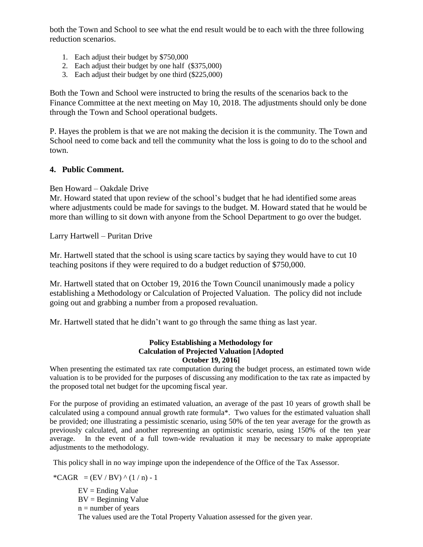both the Town and School to see what the end result would be to each with the three following reduction scenarios.

- 1. Each adjust their budget by \$750,000
- 2. Each adjust their budget by one half (\$375,000)
- 3. Each adjust their budget by one third (\$225,000)

Both the Town and School were instructed to bring the results of the scenarios back to the Finance Committee at the next meeting on May 10, 2018. The adjustments should only be done through the Town and School operational budgets.

P. Hayes the problem is that we are not making the decision it is the community. The Town and School need to come back and tell the community what the loss is going to do to the school and town.

#### **4. Public Comment.**

#### Ben Howard – Oakdale Drive

Mr. Howard stated that upon review of the school's budget that he had identified some areas where adjustments could be made for savings to the budget. M. Howard stated that he would be more than willing to sit down with anyone from the School Department to go over the budget.

Larry Hartwell – Puritan Drive

Mr. Hartwell stated that the school is using scare tactics by saying they would have to cut 10 teaching positons if they were required to do a budget reduction of \$750,000.

Mr. Hartwell stated that on October 19, 2016 the Town Council unanimously made a policy establishing a Methodology or Calculation of Projected Valuation. The policy did not include going out and grabbing a number from a proposed revaluation.

Mr. Hartwell stated that he didn't want to go through the same thing as last year.

#### **Policy Establishing a Methodology for Calculation of Projected Valuation [Adopted October 19, 2016]**

When presenting the estimated tax rate computation during the budget process, an estimated town wide valuation is to be provided for the purposes of discussing any modification to the tax rate as impacted by the proposed total net budget for the upcoming fiscal year.

For the purpose of providing an estimated valuation, an average of the past 10 years of growth shall be calculated using a compound annual growth rate formula\*. Two values for the estimated valuation shall be provided; one illustrating a pessimistic scenario, using 50% of the ten year average for the growth as previously calculated, and another representing an optimistic scenario, using 150% of the ten year average. In the event of a full town-wide revaluation it may be necessary to make appropriate adjustments to the methodology.

This policy shall in no way impinge upon the independence of the Office of the Tax Assessor.

\*CAGR =  $(EV / BV)$  ^  $(1/n)$  - 1  $EV =$  Ending Value  $BV = Beginning Value$  $n =$  number of years The values used are the Total Property Valuation assessed for the given year.